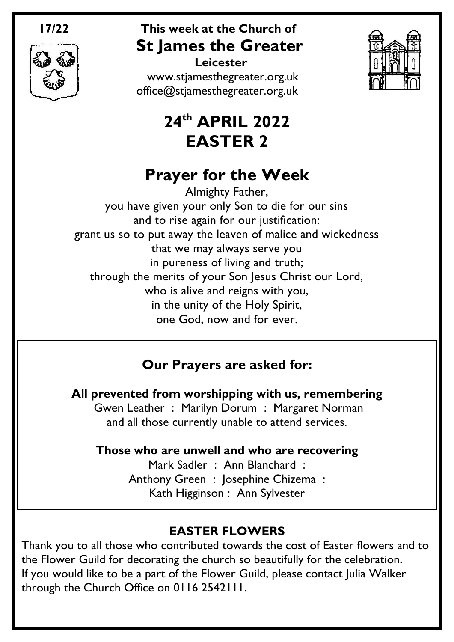

### **17/22 This week at the Church of St James the Greater Leicester**



[www.stjamesthegreater.org.uk](http://www.stjamesthegreater.org.uk/) [office@stjamesthegreater.org.uk](mailto:office@stjamesthegreater.org.uk)

# **24 th APRIL 2022 EASTER 2**

# **Prayer for the Week**

Almighty Father, you have given your only Son to die for our sins and to rise again for our justification: grant us so to put away the leaven of malice and wickedness that we may always serve you in pureness of living and truth; through the merits of your Son Jesus Christ our Lord, who is alive and reigns with you, in the unity of the Holy Spirit, one God, now and for ever.

# **Our Prayers are asked for:**

**All prevented from worshipping with us, remembering** Gwen Leather : Marilyn Dorum : Margaret Norman and all those currently unable to attend services.

### **Those who are unwell and who are recovering**

Mark Sadler : Ann Blanchard : Anthony Green : Josephine Chizema : Kath Higginson : Ann Sylvester

## **EASTER FLOWERS**

Thank you to all those who contributed towards the cost of Easter flowers and to the Flower Guild for decorating the church so beautifully for the celebration. If you would like to be a part of the Flower Guild, please contact Julia Walker through the Church Office on 0116 2542111.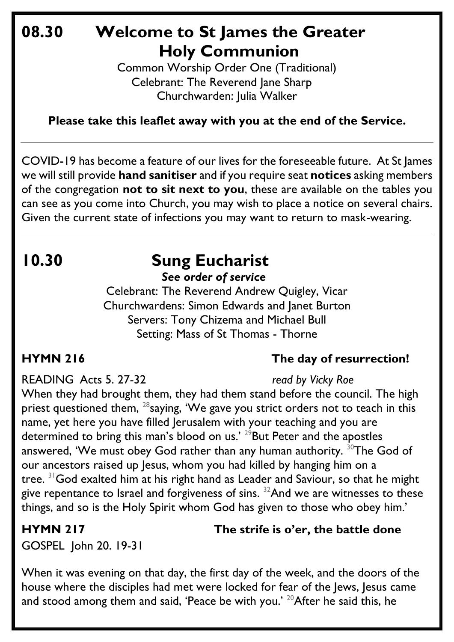# **08.30 Welcome to St James the Greater Holy Communion**

Common Worship Order One (Traditional) Celebrant: The Reverend Jane Sharp Churchwarden: Julia Walker

**Please take this leaflet away with you at the end of the Service.**

COVID-19 has become a feature of our lives for the foreseeable future. At St James we will still provide **hand sanitiser** and if you require seat **notices** asking members of the congregation **not to sit next to you**, these are available on the tables you can see as you come into Church, you may wish to place a notice on several chairs. Given the current state of infections you may want to return to mask-wearing.

# **10.30 Sung Eucharist** *See order of service*

Celebrant: The Reverend Andrew Quigley, Vicar Churchwardens: Simon Edwards and Janet Burton Servers: Tony Chizema and Michael Bull Setting: Mass of St Thomas - Thorne

## **HYMN 216 The day of resurrection!**

READING Acts 5. 27-32 *read by Vicky Roe*

When they had brought them, they had them stand before the council. The high priest questioned them, <sup>28</sup>saying, 'We gave you strict orders not to teach in this name, yet here you have filled Jerusalem with your teaching and you are determined to bring this man's blood on us.' <sup>29</sup>But Peter and the apostles answered, 'We must obey God rather than any human authority.  $30T$ he God of our ancestors raised up Jesus, whom you had killed by hanging him on a tree.  $31$  God exalted him at his right hand as Leader and Saviour, so that he might give repentance to Israel and forgiveness of sins.  $32$ And we are witnesses to these things, and so is the Holy Spirit whom God has given to those who obey him.'

### **HYMN 217 The strife is o'er, the battle done**

GOSPEL John 20. 19-31

When it was evening on that day, the first day of the week, and the doors of the house where the disciples had met were locked for fear of the Jews, Jesus came and stood among them and said, 'Peace be with you.'  $20$ After he said this, he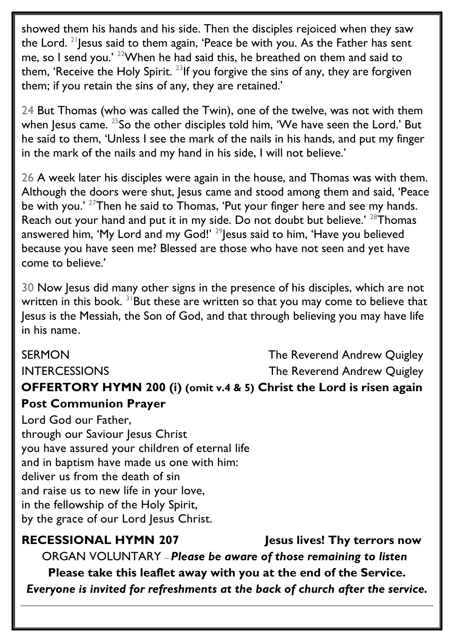showed them his hands and his side. Then the disciples rejoiced when they saw the Lord. <sup>21</sup> Jesus said to them again, 'Peace be with you. As the Father has sent me, so I send you.' <sup>22</sup>When he had said this, he breathed on them and said to them, 'Receive the Holy Spirit.<sup>23</sup>If you forgive the sins of any, they are forgiven them; if you retain the sins of any, they are retained.'

24 But Thomas (who was called the Twin), one of the twelve, was not with them when Jesus came. <sup>25</sup>So the other disciples told him, 'We have seen the Lord.' But he said to them, 'Unless I see the mark of the nails in his hands, and put my finger in the mark of the nails and my hand in his side, I will not believe.'

26 A week later his disciples were again in the house, and Thomas was with them. Although the doors were shut, Jesus came and stood among them and said, 'Peace be with you.<sup>' 27</sup>Then he said to Thomas, 'Put your finger here and see my hands. Reach out your hand and put it in my side. Do not doubt but believe.' <sup>28</sup>Thomas answered him, 'My Lord and my God!' <sup>29</sup>Jesus said to him, 'Have you believed because you have seen me? Blessed are those who have not seen and yet have come to believe.'

30 Now Jesus did many other signs in the presence of his disciples, which are not written in this book.  $31$ But these are written so that you may come to believe that Jesus is the Messiah, the Son of God, and that through believing you may have life in his name.

## SERMON SERMON SERMON INTERCESSIONS The Reverend Andrew Quigley **OFFERTORY HYMN 200 (i) (omit v.4 & 5) Christ the Lord is risen again Post Communion Prayer**

Lord God our Father, through our Saviour Jesus Christ you have assured your children of eternal life and in baptism have made us one with him: deliver us from the death of sin and raise us to new life in your love, in the fellowship of the Holy Spirit, by the grace of our Lord Jesus Christ.

### **RECESSIONAL HYMN 207 Jesus lives! Thy terrors now** ORGAN VOLUNTARY – *Please be aware of those remaining to listen* **Please take this leaflet away with you at the end of the Service.**  *Everyone is invited for refreshments at the back of church after the service.*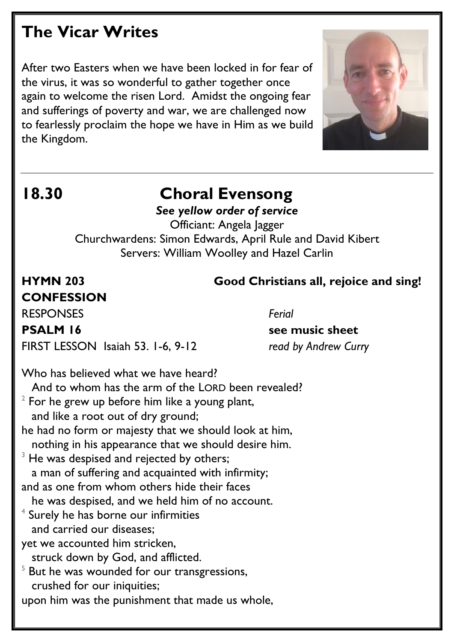# **The Vicar Writes**

After two Easters when we have been locked in for fear of the virus, it was so wonderful to gather together once again to welcome the risen Lord. Amidst the ongoing fear and sufferings of poverty and war, we are challenged now to fearlessly proclaim the hope we have in Him as we build the Kingdom.



# **18.30 Choral Evensong**

*See yellow order of service* Officiant: Angela Jagger Churchwardens: Simon Edwards, April Rule and David Kibert Servers: William Woolley and Hazel Carlin

**CONFESSION**  RESPONSES *Ferial* **PSALM 16** See music sheet

### **HYMN 203 Good Christians all, rejoice and sing!**

FIRST LESSON Isaiah 53. 1-6, 9-12 *read by Andrew Curry*

Who has believed what we have heard? And to whom has the arm of the LORD been revealed?  $^2$  For he grew up before him like a young plant, and like a root out of dry ground; he had no form or majesty that we should look at him, nothing in his appearance that we should desire him.  $3$  He was despised and rejected by others; a man of suffering and acquainted with infirmity; and as one from whom others hide their faces he was despised, and we held him of no account.  $^4$  Surely he has borne our infirmities and carried our diseases; yet we accounted him stricken, struck down by God, and afflicted.  $5$  But he was wounded for our transgressions, crushed for our iniquities; upon him was the punishment that made us whole,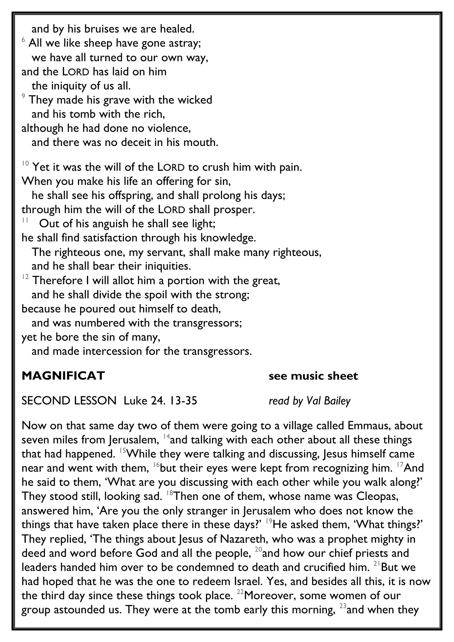and by his bruises we are healed.  $6$  All we like sheep have gone astray; we have all turned to our own way, and the LORD has laid on him the iniquity of us all.  $9$  They made his grave with the wicked and his tomb with the rich, although he had done no violence, and there was no deceit in his mouth.  $10$  Yet it was the will of the LORD to crush him with pain. When you make his life an offering for sin, he shall see his offspring, and shall prolong his days; through him the will of the LORD shall prosper. 11 Out of his anguish he shall see light; he shall find satisfaction through his knowledge. The righteous one, my servant, shall make many righteous, and he shall bear their iniquities.  $12$  Therefore I will allot him a portion with the great, and he shall divide the spoil with the strong; because he poured out himself to death, and was numbered with the transgressors; yet he bore the sin of many, and made intercession for the transgressors.

### **MAGNIFICAT** see music sheet

SECOND LESSON Luke 24. 13-35 *read by Val Bailey*

Now on that same day two of them were going to a village called Emmaus, about seven miles from Jerusalem, <sup>14</sup>and talking with each other about all these things that had happened. <sup>15</sup>While they were talking and discussing, Jesus himself came near and went with them,  $16$  but their eyes were kept from recognizing him.  $17$ And he said to them, 'What are you discussing with each other while you walk along?' They stood still, looking sad. <sup>18</sup>Then one of them, whose name was Cleopas, answered him, 'Are you the only stranger in Jerusalem who does not know the things that have taken place there in these days?' <sup>19</sup>He asked them, 'What things?' They replied, 'The things about Jesus of Nazareth, who was a prophet mighty in deed and word before God and all the people,  $^{20}$  and how our chief priests and leaders handed him over to be condemned to death and crucified him. <sup>21</sup>But we had hoped that he was the one to redeem Israel. Yes, and besides all this, it is now the third day since these things took place. <sup>22</sup>Moreover, some women of our group astounded us. They were at the tomb early this morning,  $^{23}$  and when they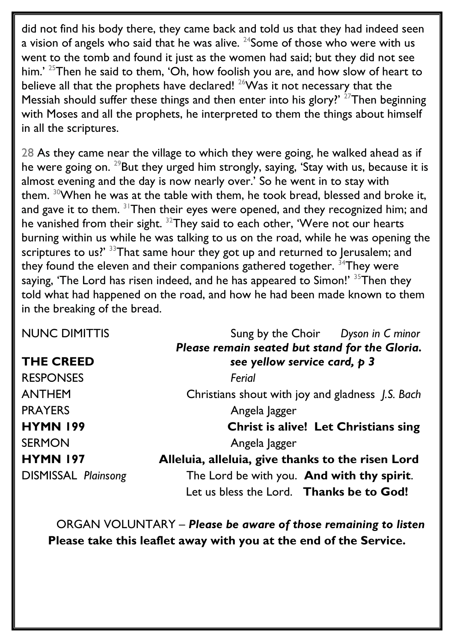did not find his body there, they came back and told us that they had indeed seen a vision of angels who said that he was alive.  $24$ Some of those who were with us went to the tomb and found it just as the women had said; but they did not see him.' <sup>25</sup>Then he said to them, 'Oh, how foolish you are, and how slow of heart to believe all that the prophets have declared!  $^{26}$ Was it not necessary that the Messiah should suffer these things and then enter into his glory?'  $27$ Then beginning with Moses and all the prophets, he interpreted to them the things about himself in all the scriptures.

28 As they came near the village to which they were going, he walked ahead as if he were going on.  $^{29}$ But they urged him strongly, saying, 'Stay with us, because it is almost evening and the day is now nearly over.' So he went in to stay with them. <sup>30</sup>When he was at the table with them, he took bread, blessed and broke it, and gave it to them. <sup>31</sup>Then their eyes were opened, and they recognized him; and he vanished from their sight. <sup>32</sup>They said to each other, 'Were not our hearts burning within us while he was talking to us on the road, while he was opening the scriptures to us?' <sup>33</sup>That same hour they got up and returned to Jerusalem; and they found the eleven and their companions gathered together.  $34$ They were saying, 'The Lord has risen indeed, and he has appeared to Simon!'  $35$ Then they told what had happened on the road, and how he had been made known to them in the breaking of the bread.

| <b>NUNC DIMITTIS</b>       | Sung by the Choir Dyson in C minor                |
|----------------------------|---------------------------------------------------|
|                            | Please remain seated but stand for the Gloria.    |
| <b>THE CREED</b>           | see yellow service card, p 3                      |
| <b>RESPONSES</b>           | Ferial                                            |
| <b>ANTHEM</b>              | Christians shout with joy and gladness J.S. Bach  |
| <b>PRAYERS</b>             | Angela Jagger                                     |
| <b>HYMN 199</b>            | <b>Christ is alive! Let Christians sing</b>       |
| <b>SERMON</b>              | Angela Jagger                                     |
| <b>HYMN 197</b>            | Alleluia, alleluia, give thanks to the risen Lord |
| <b>DISMISSAL Plainsong</b> | The Lord be with you. And with thy spirit.        |
|                            | Let us bless the Lord. Thanks be to God!          |

ORGAN VOLUNTARY – *Please be aware of those remaining to listen* **Please take this leaflet away with you at the end of the Service.**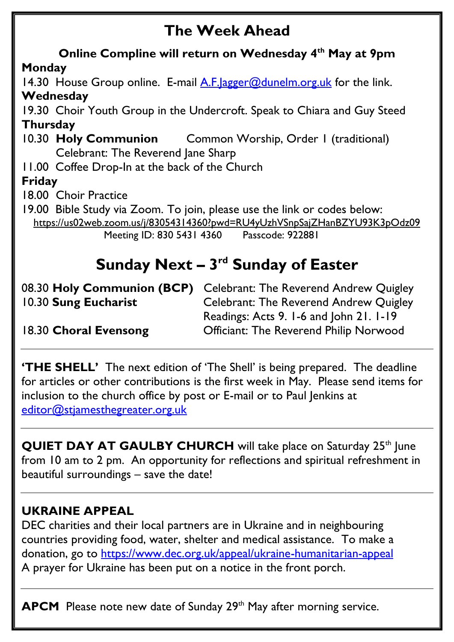# **The Week Ahead**

**Online Compline will return on Wednesday 4th May at 9pm Monday** 14.30 House Group online. E-mail  $\overline{A}$ . F. |agger@dunelm.org.uk for the link. **Wednesday** 19.30 Choir Youth Group in the Undercroft. Speak to Chiara and Guy Steed **Thursday**  10.30 **Holy Communion** Common Worship, Order 1 (traditional) Celebrant: The Reverend Jane Sharp 11.00 Coffee Drop-In at the back of the Church **Friday**  18.00 Choir Practice 19.00 Bible Study via Zoom. To join, please use the link or codes below: <https://us02web.zoom.us/j/83054314360?pwd=RU4yUzhVSnpSajZHanBZYU93K3pOdz09> Meeting ID: 830 5431 4360 Passcode: 922881

# **Sunday Next – 3<sup>rd</sup> Sunday of Easter**

|                       | 08.30 Holy Communion (BCP) Celebrant: The Reverend Andrew Quigley |
|-----------------------|-------------------------------------------------------------------|
| 10.30 Sung Eucharist  | <b>Celebrant: The Reverend Andrew Quigley</b>                     |
|                       | Readings: Acts 9. 1-6 and John 21. 1-19                           |
| 18.30 Choral Evensong | <b>Officiant: The Reverend Philip Norwood</b>                     |

**'THE SHELL'** The next edition of 'The Shell' is being prepared. The deadline for articles or other contributions is the first week in May. Please send items for inclusion to the church office by post or E-mail or to Paul Jenkins at [editor@stjamesthegreater.org.uk](mailto:editor@stjamesthegreater.org.uk)

**QUIET DAY AT GAULBY CHURCH** will take place on Saturday 25<sup>th</sup> June from 10 am to 2 pm. An opportunity for reflections and spiritual refreshment in beautiful surroundings – save the date!

## **UKRAINE APPEAL**

DEC charities and their local partners are in Ukraine and in neighbouring countries providing food, water, shelter and medical assistance. To make a donation, go to<https://www.dec.org.uk/appeal/ukraine-humanitarian-appeal> A prayer for Ukraine has been put on a notice in the front porch.

**APCM** Please note new date of Sunday 29<sup>th</sup> May after morning service.